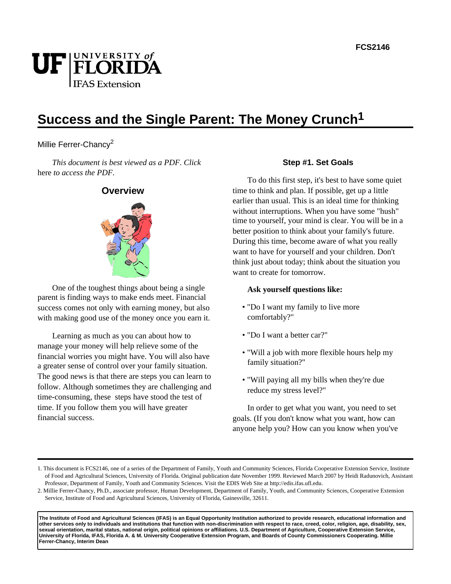# UF FLORIDA **IFAS Extension**

# **Success and the Single Parent: The Money Crunch1**

# Millie Ferrer-Chancy<sup>2</sup>

*This document is best viewed as a PDF. Click*  here *to access the PDF.*



One of the toughest things about being a single parent is finding ways to make ends meet. Financial success comes not only with earning money, but also with making good use of the money once you earn it.

Learning as much as you can about how to manage your money will help relieve some of the financial worries you might have. You will also have a greater sense of control over your family situation. The good news is that there are steps you can learn to follow. Although sometimes they are challenging and time-consuming, these steps have stood the test of time. If you follow them you will have greater financial success.

#### **Step #1. Set Goals**

To do this first step, it's best to have some quiet time to think and plan. If possible, get up a little earlier than usual. This is an ideal time for thinking without interruptions. When you have some "hush" time to yourself, your mind is clear. You will be in a better position to think about your family's future. During this time, become aware of what you really want to have for yourself and your children. Don't think just about today; think about the situation you want to create for tomorrow.

#### **Ask yourself questions like:**

- "Do I want my family to live more comfortably?"
- "Do I want a better car?"
- "Will a job with more flexible hours help my family situation?"
- "Will paying all my bills when they're due reduce my stress level?"

In order to get what you want, you need to set goals. (If you don't know what you want, how can anyone help you? How can you know when you've

**The Institute of Food and Agricultural Sciences (IFAS) is an Equal Opportunity Institution authorized to provide research, educational information and other services only to individuals and institutions that function with non-discrimination with respect to race, creed, color, religion, age, disability, sex, sexual orientation, marital status, national origin, political opinions or affiliations. U.S. Department of Agriculture, Cooperative Extension Service, University of Florida, IFAS, Florida A. & M. University Cooperative Extension Program, and Boards of County Commissioners Cooperating. Millie Ferrer-Chancy, Interim Dean**

<sup>1.</sup> This document is FCS2146, one of a series of the Department of Family, Youth and Community Sciences, Florida Cooperative Extension Service, Institute of Food and Agricultural Sciences, University of Florida. Original publication date November 1999. Reviewed March 2007 by Heidi Radunovich, Assistant Professor, Department of Family, Youth and Community Sciences. Visit the EDIS Web Site at http://edis.ifas.ufl.edu.

<sup>2.</sup> Millie Ferrer-Chancy, Ph.D., associate professor, Human Development, Department of Family, Youth, and Community Sciences, Cooperative Extension Service, Institute of Food and Agricultural Sciences, University of Florida, Gainesville, 32611.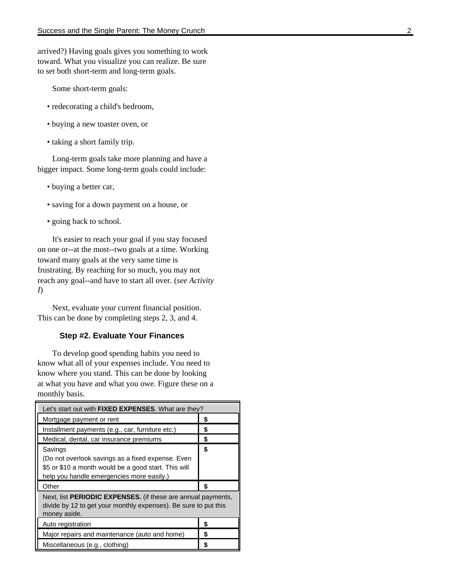arrived?) Having goals gives you something to work toward. What you visualize you can realize. Be sure to set both short-term and long-term goals.

Some short-term goals:

- redecorating a child's bedroom,
- buying a new toaster oven, or
- taking a short family trip.

Long-term goals take more planning and have a bigger impact. Some long-term goals could include:

- buying a better car,
- saving for a down payment on a house, or
- going back to school.

It's easier to reach your goal if you stay focused on one or--at the most--two goals at a time. Working toward many goals at the very same time is frustrating. By reaching for so much, you may not reach any goal--and have to start all over. (*see Activity I*)

Next, evaluate your current financial position. This can be done by completing steps 2, 3, and 4.

#### **Step #2. Evaluate Your Finances**

To develop good spending habits you need to know what all of your expenses include. You need to know where you stand. This can be done by looking at what you have and what you owe. Figure these on a monthly basis.

| Let's start out with <b>FIXED EXPENSES</b> . What are they?                                                                                                       |    |  |
|-------------------------------------------------------------------------------------------------------------------------------------------------------------------|----|--|
| Mortgage payment or rent                                                                                                                                          | \$ |  |
| Installment payments (e.g., car, furniture etc.)                                                                                                                  | \$ |  |
| Medical, dental, car insurance premiums                                                                                                                           | S  |  |
| Savings<br>(Do not overlook savings as a fixed expense. Even<br>\$5 or \$10 a month would be a good start. This will<br>help you handle emergencies more easily.) | \$ |  |
| Other                                                                                                                                                             | \$ |  |
| Next, list PERIODIC EXPENSES. (if these are annual payments,<br>divide by 12 to get your monthly expenses). Be sure to put this<br>money aside.                   |    |  |
| Auto registration                                                                                                                                                 | \$ |  |
| Major repairs and maintenance (auto and home)                                                                                                                     | \$ |  |
| Miscellaneous (e.g., clothing)                                                                                                                                    | S  |  |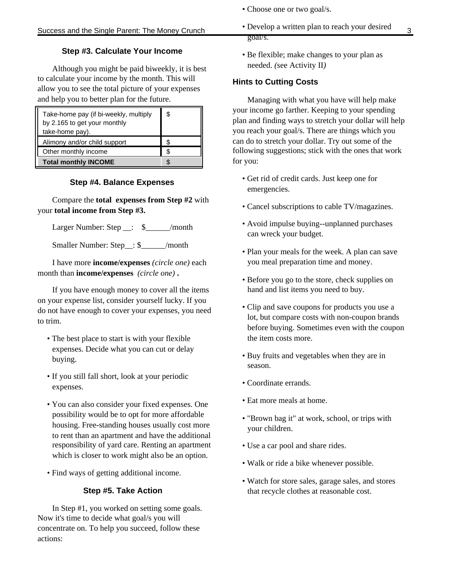# **Step #3. Calculate Your Income**

Although you might be paid biweekly, it is best to calculate your income by the month. This will allow you to see the total picture of your expenses and help you to better plan for the future.

| Take-home pay (if bi-weekly, multiply<br>by 2.165 to get your monthly<br>take-home pay). | \$ |
|------------------------------------------------------------------------------------------|----|
| Alimony and/or child support                                                             |    |
| Other monthly income                                                                     |    |
| <b>Total monthly INCOME</b>                                                              |    |

## **Step #4. Balance Expenses**

Compare the **total expenses from Step #2** with your **total income from Step #3.**

Larger Number: Step \_\_: \$\_\_\_\_\_\_/month

Smaller Number: Step\_\_: \$\_\_\_\_\_\_/month

I have more **income/expenses** *(circle one)* each month than **income/expenses** *(circle one)* **.**

If you have enough money to cover all the items on your expense list, consider yourself lucky. If you do not have enough to cover your expenses, you need to trim.

- The best place to start is with your flexible expenses. Decide what you can cut or delay buying.
- If you still fall short, look at your periodic expenses.
- You can also consider your fixed expenses. One possibility would be to opt for more affordable housing. Free-standing houses usually cost more to rent than an apartment and have the additional responsibility of yard care. Renting an apartment which is closer to work might also be an option.
- Find ways of getting additional income.

# **Step #5. Take Action**

In Step #1, you worked on setting some goals. Now it's time to decide what goal/s you will concentrate on. To help you succeed, follow these actions:

- Choose one or two goal/s.
- Success and the Single Parent: The Money Crunch Develop a written plan to reach your desired 3 • Develop a written plan to reach your desired goal/s.
	- Be flexible; make changes to your plan as needed. *(*see Activity II*)*

# **Hints to Cutting Costs**

Managing with what you have will help make your income go farther. Keeping to your spending plan and finding ways to stretch your dollar will help you reach your goal/s. There are things which you can do to stretch your dollar. Try out some of the following suggestions; stick with the ones that work for you:

- Get rid of credit cards. Just keep one for emergencies.
- Cancel subscriptions to cable TV/magazines.
- Avoid impulse buying--unplanned purchases can wreck your budget.
- Plan your meals for the week. A plan can save you meal preparation time and money.
- Before you go to the store, check supplies on hand and list items you need to buy.
- Clip and save coupons for products you use a lot, but compare costs with non-coupon brands before buying. Sometimes even with the coupon the item costs more.
- Buy fruits and vegetables when they are in season.
- Coordinate errands.
- Eat more meals at home.
- "Brown bag it" at work, school, or trips with your children.
- Use a car pool and share rides.
- Walk or ride a bike whenever possible.
- Watch for store sales, garage sales, and stores that recycle clothes at reasonable cost.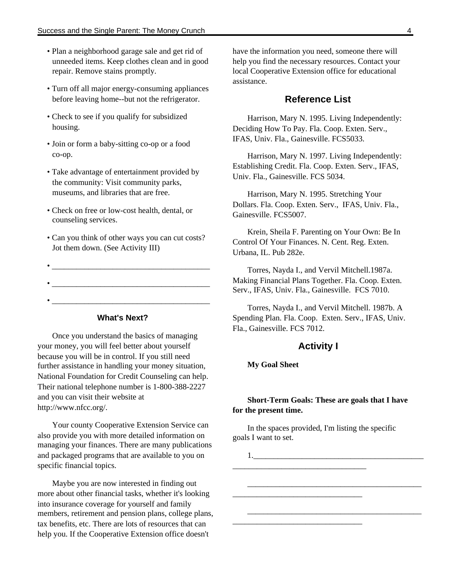- Plan a neighborhood garage sale and get rid of unneeded items. Keep clothes clean and in good repair. Remove stains promptly.
- Turn off all major energy-consuming appliances before leaving home--but not the refrigerator.
- Check to see if you qualify for subsidized housing.
- Join or form a baby-sitting co-op or a food co-op.
- Take advantage of entertainment provided by the community: Visit community parks, museums, and libraries that are free.
- Check on free or low-cost health, dental, or counseling services.
- Can you think of other ways you can cut costs? Jot them down. (See Activity III)
- $\bullet$  . The contract of the contract of the contract of the contract of the contract of the contract of the contract of the contract of the contract of the contract of the contract of the contract of the contract of the co • \_\_\_\_\_\_\_\_\_\_\_\_\_\_\_\_\_\_\_\_\_\_\_\_\_\_\_\_\_\_\_\_\_\_\_\_\_\_\_
	-

#### **What's Next?**

Once you understand the basics of managing your money, you will feel better about yourself because you will be in control. If you still need further assistance in handling your money situation, National Foundation for Credit Counseling can help. Their national telephone number is 1-800-388-2227 and you can visit their website at http://www.nfcc.org/.

Your county Cooperative Extension Service can also provide you with more detailed information on managing your finances. There are many publications and packaged programs that are available to you on specific financial topics.

Maybe you are now interested in finding out more about other financial tasks, whether it's looking into insurance coverage for yourself and family members, retirement and pension plans, college plans, tax benefits, etc. There are lots of resources that can help you. If the Cooperative Extension office doesn't

have the information you need, someone there will help you find the necessary resources. Contact your local Cooperative Extension office for educational assistance.

#### **Reference List**

Harrison, Mary N. 1995. Living Independently: Deciding How To Pay. Fla. Coop. Exten. Serv., IFAS, Univ. Fla., Gainesville. FCS5033.

Harrison, Mary N. 1997. Living Independently: Establishing Credit. Fla. Coop. Exten. Serv., IFAS, Univ. Fla., Gainesville. FCS 5034.

Harrison, Mary N. 1995. Stretching Your Dollars. Fla. Coop. Exten. Serv., IFAS, Univ. Fla., Gainesville. FCS5007.

Krein, Sheila F. Parenting on Your Own: Be In Control Of Your Finances. N. Cent. Reg. Exten. Urbana, IL. Pub 282e.

Torres, Nayda I., and Vervil Mitchell.1987a. Making Financial Plans Together. Fla. Coop. Exten. Serv., IFAS, Univ. Fla., Gainesville. FCS 7010.

Torres, Nayda I., and Vervil Mitchell. 1987b. A Spending Plan. Fla. Coop. Exten. Serv., IFAS, Univ. Fla., Gainesville. FCS 7012.

#### **Activity I**

#### **My Goal Sheet**

#### **Short-Term Goals: These are goals that I have for the present time.**

In the spaces provided, I'm listing the specific goals I want to set.

 $1.$ \_\_\_\_\_\_\_\_\_\_\_\_\_\_\_\_\_\_\_\_\_\_\_\_\_\_\_\_\_\_\_\_\_ \_\_\_\_\_\_\_\_\_\_\_\_\_\_\_\_\_\_\_\_\_\_\_\_\_\_\_\_\_\_\_\_\_\_\_\_\_\_\_\_\_\_\_ \_\_\_\_\_\_\_\_\_\_\_\_\_\_\_\_\_\_\_\_\_\_\_\_\_\_\_\_\_\_\_\_ \_\_\_\_\_\_\_\_\_\_\_\_\_\_\_\_\_\_\_\_\_\_\_\_\_\_\_\_\_\_\_\_\_\_\_\_\_\_\_\_\_\_\_ \_\_\_\_\_\_\_\_\_\_\_\_\_\_\_\_\_\_\_\_\_\_\_\_\_\_\_\_\_\_\_\_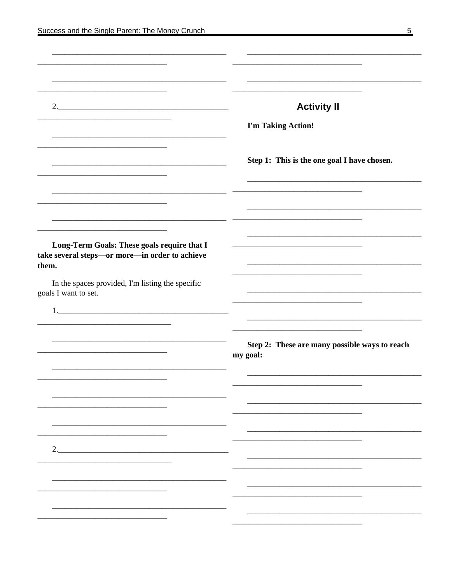|                                                                                                        | <b>Activity II</b>                                        |
|--------------------------------------------------------------------------------------------------------|-----------------------------------------------------------|
|                                                                                                        | I'm Taking Action!                                        |
|                                                                                                        | Step 1: This is the one goal I have chosen.               |
|                                                                                                        |                                                           |
| Long-Term Goals: These goals require that I<br>take several steps-or more-in order to achieve<br>them. |                                                           |
| In the spaces provided, I'm listing the specific                                                       |                                                           |
| goals I want to set.                                                                                   |                                                           |
|                                                                                                        |                                                           |
|                                                                                                        | Step 2: These are many possible ways to reach<br>my goal: |
|                                                                                                        |                                                           |
|                                                                                                        |                                                           |
| 2.                                                                                                     |                                                           |
|                                                                                                        |                                                           |
|                                                                                                        |                                                           |
|                                                                                                        |                                                           |
|                                                                                                        |                                                           |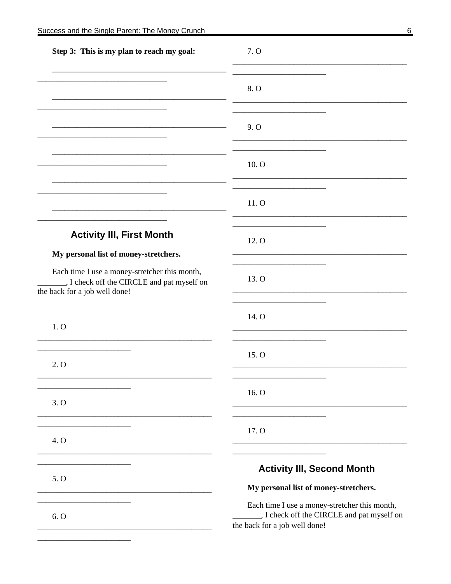| 8. O<br>9. O<br>10. O<br>11. O<br><b>Activity III, First Month</b><br>12. O<br>My personal list of money-stretchers.<br>Each time I use a money-stretcher this month,<br>13. O<br>., I check off the CIRCLE and pat myself on<br>the back for a job well done!<br>14. O<br>1.0<br>15. O<br>2. O<br>16. O<br>3.0<br>17. O<br>4. O | Step 3: This is my plan to reach my goal: | 7. O                              |  |
|----------------------------------------------------------------------------------------------------------------------------------------------------------------------------------------------------------------------------------------------------------------------------------------------------------------------------------|-------------------------------------------|-----------------------------------|--|
|                                                                                                                                                                                                                                                                                                                                  |                                           |                                   |  |
|                                                                                                                                                                                                                                                                                                                                  |                                           |                                   |  |
|                                                                                                                                                                                                                                                                                                                                  |                                           |                                   |  |
|                                                                                                                                                                                                                                                                                                                                  |                                           |                                   |  |
|                                                                                                                                                                                                                                                                                                                                  |                                           |                                   |  |
|                                                                                                                                                                                                                                                                                                                                  |                                           |                                   |  |
|                                                                                                                                                                                                                                                                                                                                  |                                           |                                   |  |
|                                                                                                                                                                                                                                                                                                                                  |                                           |                                   |  |
|                                                                                                                                                                                                                                                                                                                                  |                                           |                                   |  |
|                                                                                                                                                                                                                                                                                                                                  |                                           |                                   |  |
|                                                                                                                                                                                                                                                                                                                                  |                                           |                                   |  |
| 5.0<br>My personal list of money-stretchers.                                                                                                                                                                                                                                                                                     |                                           | <b>Activity III, Second Month</b> |  |
| Each time I use a money-stretcher this month,<br>_, I check off the CIRCLE and pat myself on<br>6. O<br>the back for a job well done!                                                                                                                                                                                            |                                           |                                   |  |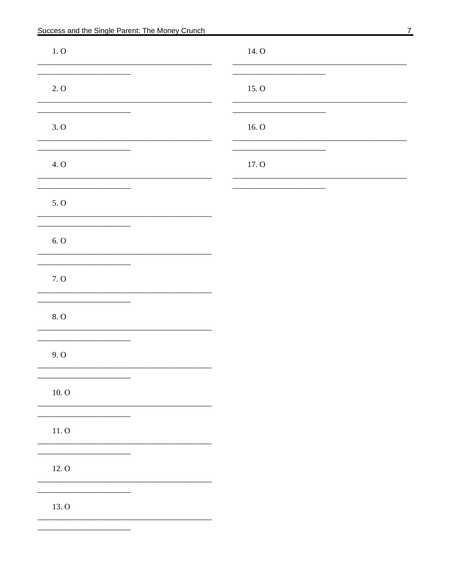| 1.0    | 14. O |  |
|--------|-------|--|
| 2.0    | 15. O |  |
| 3.0    | 16.0  |  |
| 4. O   | 17. O |  |
| 5. O   |       |  |
| $6.0$  |       |  |
| 7.0    |       |  |
| 8.0    |       |  |
| 9.0    |       |  |
| 10.0   |       |  |
| $11.0$ |       |  |
| 12. O  |       |  |
| 13. O  |       |  |